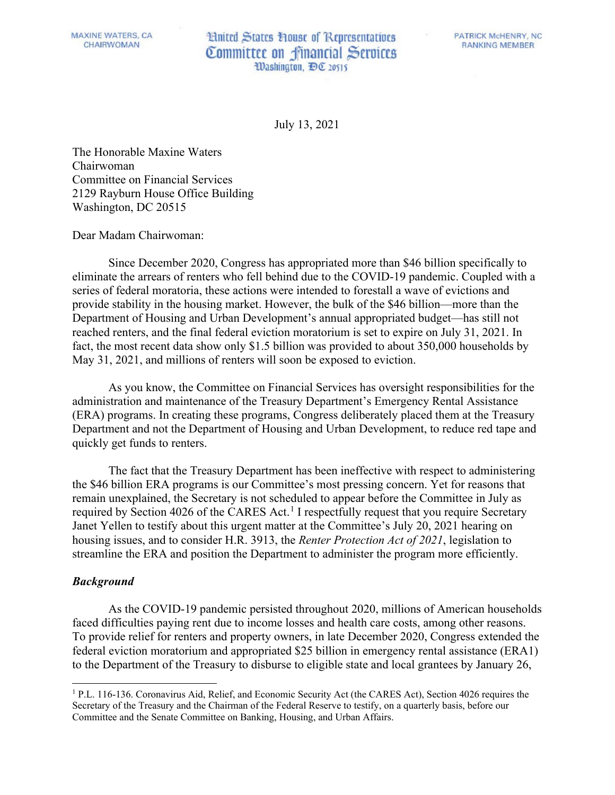**MAXINE WATERS, CA** CHAIRWOMAN

**Hnited States House of Representatives** Committee on financial Services Washington, DC 20515

**PATRICK McHENRY, NC RANKING MEMBER** 

July 13, 2021

The Honorable Maxine Waters Chairwoman Committee on Financial Services 2129 Rayburn House Office Building Washington, DC 20515

Dear Madam Chairwoman:

Since December 2020, Congress has appropriated more than \$46 billion specifically to eliminate the arrears of renters who fell behind due to the COVID-19 pandemic. Coupled with a series of federal moratoria, these actions were intended to forestall a wave of evictions and provide stability in the housing market. However, the bulk of the \$46 billion—more than the Department of Housing and Urban Development's annual appropriated budget—has still not reached renters, and the final federal eviction moratorium is set to expire on July 31, 2021. In fact, the most recent data show only \$1.5 billion was provided to about 350,000 households by May 31, 2021, and millions of renters will soon be exposed to eviction.

As you know, the Committee on Financial Services has oversight responsibilities for the administration and maintenance of the Treasury Department's Emergency Rental Assistance (ERA) programs. In creating these programs, Congress deliberately placed them at the Treasury Department and not the Department of Housing and Urban Development, to reduce red tape and quickly get funds to renters.

The fact that the Treasury Department has been ineffective with respect to administering the \$46 billion ERA programs is our Committee's most pressing concern. Yet for reasons that remain unexplained, the Secretary is not scheduled to appear before the Committee in July as required by Section 4026 of the CARES Act.<sup>[1](#page-0-0)</sup> I respectfully request that you require Secretary Janet Yellen to testify about this urgent matter at the Committee's July 20, 2021 hearing on housing issues, and to consider H.R. 3913, the *Renter Protection Act of 2021*, legislation to streamline the ERA and position the Department to administer the program more efficiently.

## *Background*

As the COVID-19 pandemic persisted throughout 2020, millions of American households faced difficulties paying rent due to income losses and health care costs, among other reasons. To provide relief for renters and property owners, in late December 2020, Congress extended the federal eviction moratorium and appropriated \$25 billion in emergency rental assistance (ERA1) to the Department of the Treasury to disburse to eligible state and local grantees by January 26,

<span id="page-0-0"></span><sup>1</sup> P.L. 116-136. Coronavirus Aid, Relief, and Economic Security Act (the CARES Act), Section 4026 requires the Secretary of the Treasury and the Chairman of the Federal Reserve to testify, on a quarterly basis, before our Committee and the Senate Committee on Banking, Housing, and Urban Affairs.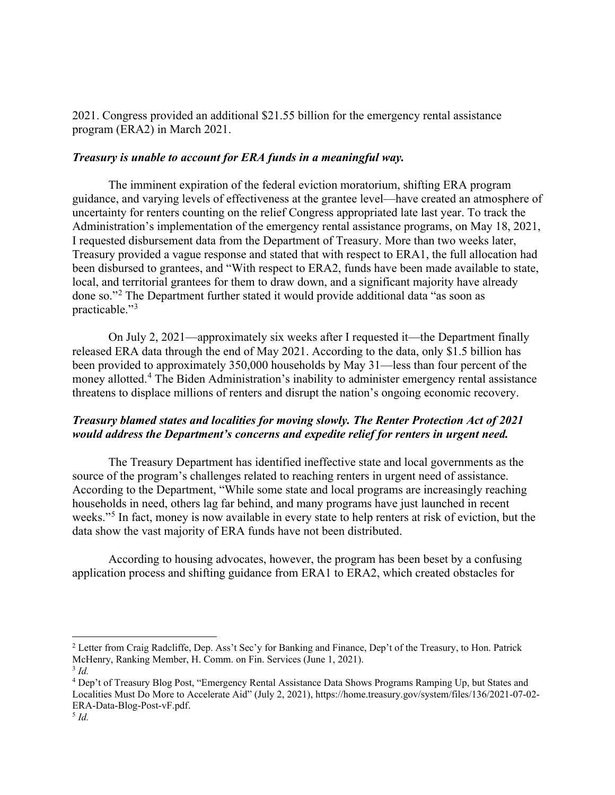2021. Congress provided an additional \$21.55 billion for the emergency rental assistance program (ERA2) in March 2021.

## *Treasury is unable to account for ERA funds in a meaningful way.*

 The imminent expiration of the federal eviction moratorium, shifting ERA program guidance, and varying levels of effectiveness at the grantee level—have created an atmosphere of uncertainty for renters counting on the relief Congress appropriated late last year. To track the Administration's implementation of the emergency rental assistance programs, on May 18, 2021, I requested disbursement data from the Department of Treasury. More than two weeks later, Treasury provided a vague response and stated that with respect to ERA1, the full allocation had been disbursed to grantees, and "With respect to ERA2, funds have been made available to state, local, and territorial grantees for them to draw down, and a significant majority have already done so."<sup>[2](#page-1-0)</sup> The Department further stated it would provide additional data "as soon as practicable."<sup>[3](#page-1-1)</sup>

On July 2, 2021—approximately six weeks after I requested it—the Department finally released ERA data through the end of May 2021. According to the data, only \$1.5 billion has been provided to approximately 350,000 households by May 31—less than four percent of the money allotted.[4](#page-1-2) The Biden Administration's inability to administer emergency rental assistance threatens to displace millions of renters and disrupt the nation's ongoing economic recovery.

## *Treasury blamed states and localities for moving slowly. The Renter Protection Act of 2021 would address the Department's concerns and expedite relief for renters in urgent need.*

The Treasury Department has identified ineffective state and local governments as the source of the program's challenges related to reaching renters in urgent need of assistance. According to the Department, "While some state and local programs are increasingly reaching households in need, others lag far behind, and many programs have just launched in recent weeks."<sup>[5](#page-1-3)</sup> In fact, money is now available in every state to help renters at risk of eviction, but the data show the vast majority of ERA funds have not been distributed.

According to housing advocates, however, the program has been beset by a confusing application process and shifting guidance from ERA1 to ERA2, which created obstacles for

<span id="page-1-0"></span><sup>&</sup>lt;sup>2</sup> Letter from Craig Radcliffe, Dep. Ass't Sec'y for Banking and Finance, Dep't of the Treasury, to Hon. Patrick McHenry, Ranking Member, H. Comm. on Fin. Services (June 1, 2021).

<span id="page-1-1"></span><sup>3</sup> *Id.*

<span id="page-1-3"></span><span id="page-1-2"></span><sup>4</sup> Dep't of Treasury Blog Post, "Emergency Rental Assistance Data Shows Programs Ramping Up, but States and Localities Must Do More to Accelerate Aid" (July 2, 2021), https://home.treasury.gov/system/files/136/2021-07-02- ERA-Data-Blog-Post-vF.pdf.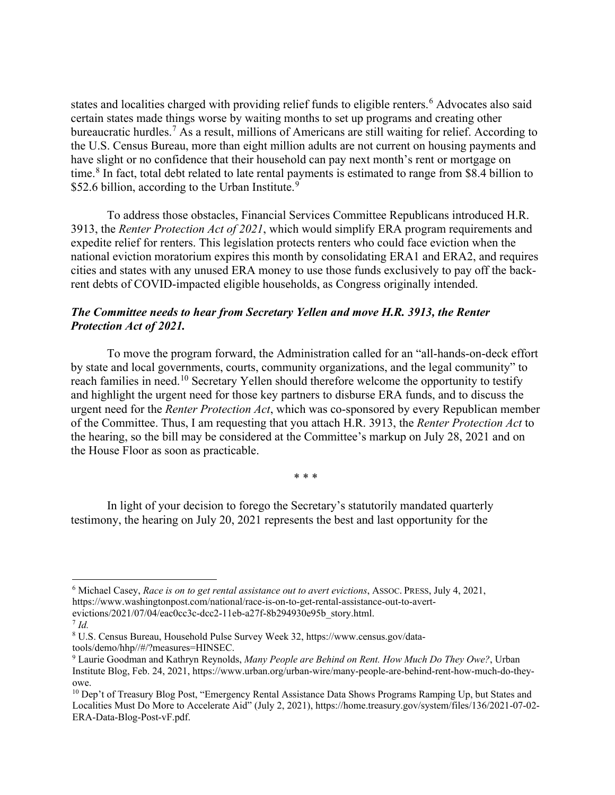states and localities charged with providing relief funds to eligible renters.<sup>[6](#page-2-0)</sup> Advocates also said certain states made things worse by waiting months to set up programs and creating other bureaucratic hurdles.[7](#page-2-1) As a result, millions of Americans are still waiting for relief. According to the U.S. Census Bureau, more than eight million adults are not current on housing payments and have slight or no confidence that their household can pay next month's rent or mortgage on time.<sup>[8](#page-2-2)</sup> In fact, total debt related to late rental payments is estimated to range from \$8.4 billion to \$52.6 billion, according to the Urban Institute.<sup>[9](#page-2-3)</sup>

To address those obstacles, Financial Services Committee Republicans introduced H.R. 3913, the *Renter Protection Act of 2021*, which would simplify ERA program requirements and expedite relief for renters. This legislation protects renters who could face eviction when the national eviction moratorium expires this month by consolidating ERA1 and ERA2, and requires cities and states with any unused ERA money to use those funds exclusively to pay off the backrent debts of COVID-impacted eligible households, as Congress originally intended.

## *The Committee needs to hear from Secretary Yellen and move H.R. 3913, the Renter Protection Act of 2021.*

To move the program forward, the Administration called for an "all-hands-on-deck effort by state and local governments, courts, community organizations, and the legal community" to reach families in need.<sup>[10](#page-2-4)</sup> Secretary Yellen should therefore welcome the opportunity to testify and highlight the urgent need for those key partners to disburse ERA funds, and to discuss the urgent need for the *Renter Protection Act*, which was co-sponsored by every Republican member of the Committee. Thus, I am requesting that you attach H.R. 3913, the *Renter Protection Act* to the hearing, so the bill may be considered at the Committee's markup on July 28, 2021 and on the House Floor as soon as practicable.

\* \* \*

In light of your decision to forego the Secretary's statutorily mandated quarterly testimony, the hearing on July 20, 2021 represents the best and last opportunity for the

<span id="page-2-0"></span><sup>6</sup> Michael Casey, *Race is on to get rental assistance out to avert evictions*, ASSOC. PRESS, July 4, 2021, https://www.washingtonpost.com/national/race-is-on-to-get-rental-assistance-out-to-avert-

evictions/2021/07/04/eac0cc3c-dcc2-11eb-a27f-8b294930e95b\_story.html.

<span id="page-2-1"></span><sup>7</sup> *Id.*

<span id="page-2-2"></span><sup>8</sup> U.S. Census Bureau, Household Pulse Survey Week 32, https://www.census.gov/datatools/demo/hhp//#/?measures=HINSEC.

<span id="page-2-3"></span><sup>9</sup> Laurie Goodman and Kathryn Reynolds, *Many People are Behind on Rent. How Much Do They Owe?*, Urban Institute Blog, Feb. 24, 2021, https://www.urban.org/urban-wire/many-people-are-behind-rent-how-much-do-theyowe.

<span id="page-2-4"></span><sup>&</sup>lt;sup>10</sup> Dep't of Treasury Blog Post, "Emergency Rental Assistance Data Shows Programs Ramping Up, but States and Localities Must Do More to Accelerate Aid" (July 2, 2021), https://home.treasury.gov/system/files/136/2021-07-02- ERA-Data-Blog-Post-vF.pdf.